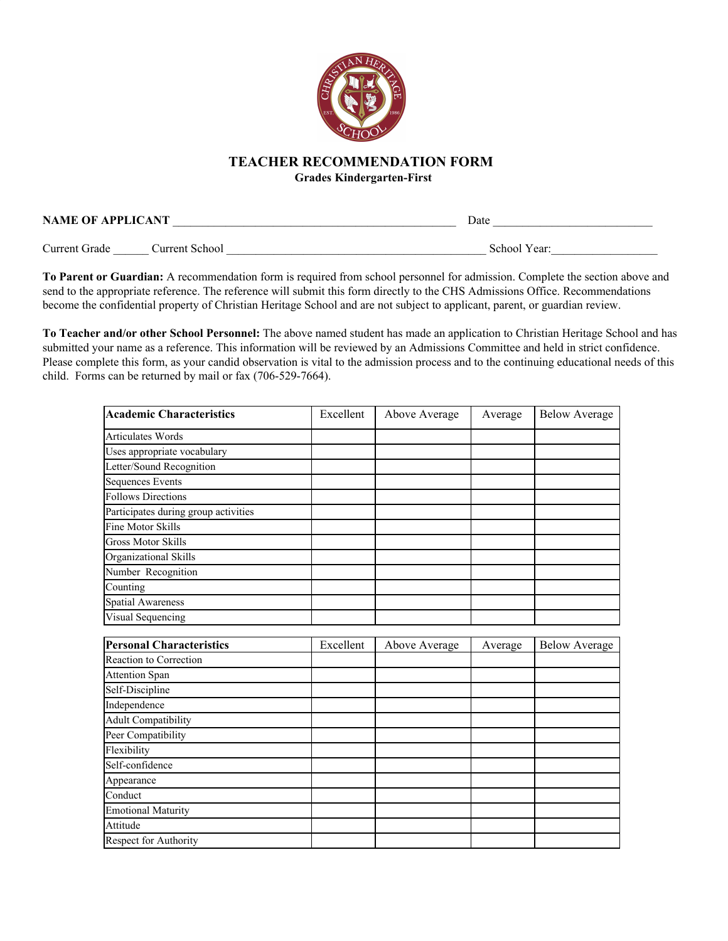

## **TEACHER RECOMMENDATION FORM**

**Grades Kindergarten-First**

| <b>NAME OF APPLICANT</b> | Date |  |
|--------------------------|------|--|
|                          |      |  |

Current Grade \_\_\_\_\_\_ Current School \_\_\_\_\_\_\_\_\_\_\_\_\_\_\_\_\_\_\_\_\_\_\_\_\_\_\_\_\_\_\_\_\_\_\_\_\_\_\_\_\_\_\_\_ School Year:\_\_\_\_\_\_\_\_\_\_\_\_\_\_\_\_\_\_

**To Parent or Guardian:** A recommendation form is required from school personnel for admission. Complete the section above and send to the appropriate reference. The reference will submit this form directly to the CHS Admissions Office. Recommendations become the confidential property of Christian Heritage School and are not subject to applicant, parent, or guardian review.

**To Teacher and/or other School Personnel:** The above named student has made an application to Christian Heritage School and has submitted your name as a reference. This information will be reviewed by an Admissions Committee and held in strict confidence. Please complete this form, as your candid observation is vital to the admission process and to the continuing educational needs of this child. Forms can be returned by mail or fax (706-529-7664).

| <b>Academic Characteristics</b>      | Excellent | Above Average | Average | <b>Below Average</b> |
|--------------------------------------|-----------|---------------|---------|----------------------|
| <b>Articulates Words</b>             |           |               |         |                      |
| Uses appropriate vocabulary          |           |               |         |                      |
| Letter/Sound Recognition             |           |               |         |                      |
| <b>Sequences Events</b>              |           |               |         |                      |
| <b>Follows Directions</b>            |           |               |         |                      |
| Participates during group activities |           |               |         |                      |
| <b>Fine Motor Skills</b>             |           |               |         |                      |
| <b>Gross Motor Skills</b>            |           |               |         |                      |
| Organizational Skills                |           |               |         |                      |
| Number Recognition                   |           |               |         |                      |
| Counting                             |           |               |         |                      |
| <b>Spatial Awareness</b>             |           |               |         |                      |
| Visual Sequencing                    |           |               |         |                      |
|                                      |           |               |         |                      |
|                                      |           |               |         |                      |
| <b>Personal Characteristics</b>      | Excellent | Above Average | Average | <b>Below Average</b> |
| Reaction to Correction               |           |               |         |                      |
| <b>Attention Span</b>                |           |               |         |                      |
| Self-Discipline                      |           |               |         |                      |
| Independence                         |           |               |         |                      |
| <b>Adult Compatibility</b>           |           |               |         |                      |
| Peer Compatibility                   |           |               |         |                      |
| Flexibility                          |           |               |         |                      |
| Self-confidence                      |           |               |         |                      |
| Appearance                           |           |               |         |                      |
| Conduct                              |           |               |         |                      |
| <b>Emotional Maturity</b>            |           |               |         |                      |
| Attitude                             |           |               |         |                      |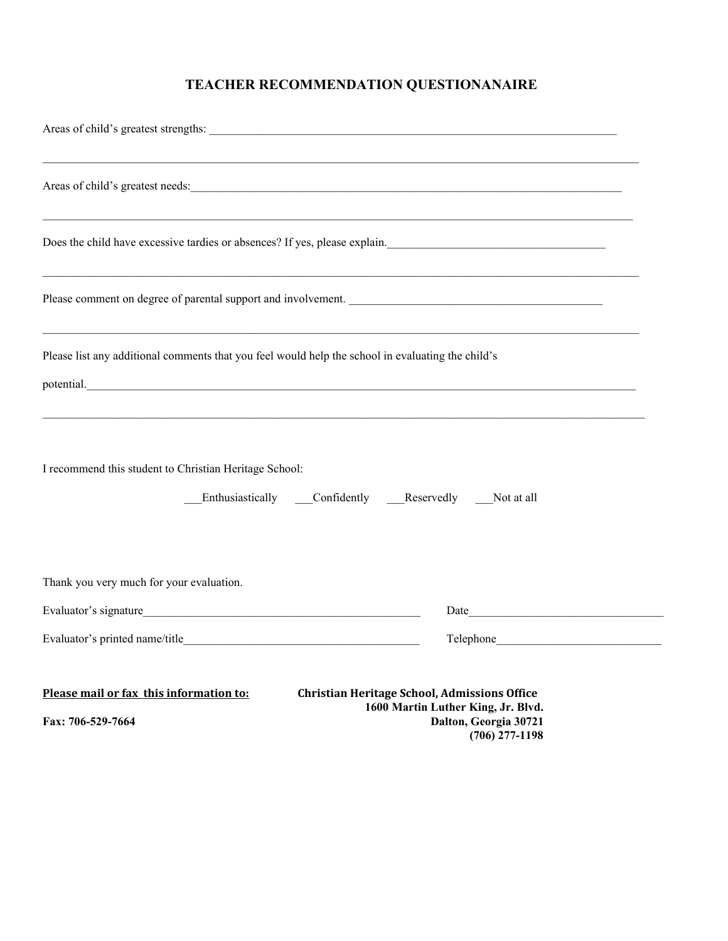## **TEACHER RECOMMENDATION QUESTIONANAIRE**

| ,我们也不能在这里的人,我们也不能在这里的人,我们也不能在这里的人,我们也不能在这里的人,我们也不能在这里的人,我们也不能在这里的人,我们也不能在这里的人,我们也<br>Areas of child's greatest needs:                                                                               |                                                                                 |  |  |  |  |  |
|-----------------------------------------------------------------------------------------------------------------------------------------------------------------------------------------------------|---------------------------------------------------------------------------------|--|--|--|--|--|
|                                                                                                                                                                                                     |                                                                                 |  |  |  |  |  |
| Please comment on degree of parental support and involvement.                                                                                                                                       |                                                                                 |  |  |  |  |  |
| Please list any additional comments that you feel would help the school in evaluating the child's<br>potential.<br>,我们也不能在这里的人,我们也不能在这里的人,我们也不能不能不能不能不能不能不能不能不能不能不能不能不能不能。""我们,我们也不能不能不能不能不能不能不能不能不 |                                                                                 |  |  |  |  |  |
| I recommend this student to Christian Heritage School:<br>Enthusiastically Confidently Reservedly Not at all                                                                                        |                                                                                 |  |  |  |  |  |
| Thank you very much for your evaluation.                                                                                                                                                            |                                                                                 |  |  |  |  |  |
|                                                                                                                                                                                                     |                                                                                 |  |  |  |  |  |
|                                                                                                                                                                                                     |                                                                                 |  |  |  |  |  |
| Please mail or fax this information to:<br><b>Christian Heritage School, Admissions Office</b><br>Fax: 706-529-7664                                                                                 | 1600 Martin Luther King, Jr. Blvd.<br>Dalton, Georgia 30721<br>$(706)$ 277-1198 |  |  |  |  |  |